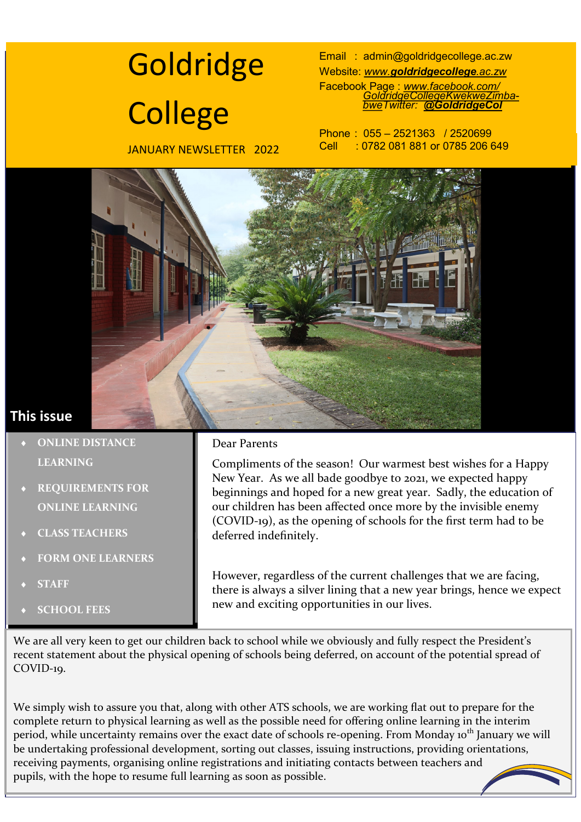# **Goldridge College**

JANUARY NEWSLETTER 2022

Email : [admin@goldridgecollege.ac.zw](mailto:goldridgecollege@gmail.com)  Website: *www.[goldridgecollege](http://www.goldridgecollege.ac.zw).ac.zw* Facebook Page : *[www.facebook.com/](http://www.facebook.com/GoldridgeCollegeKwekweZimbabwe) [GoldridgeCollegeKwekweZimba](http://www.facebook.com/GoldridgeCollegeKwekweZimbabwe)[bweTw](http://www.facebook.com/GoldridgeCollegeKwekweZimbabwe)itter: [@GoldridgeCol](http://www.twitter.com/goldridgecol)* 

Phone : 055 – 2521363 / 2520699 Cell : 0782 081 881 or 0785 206 649



# **This issue**

- **ONLINE DISTANCE LEARNING**
- **REQUIREMENTS FOR ONLINE LEARNING**
- **CLASS TEACHERS**
- **FORM ONE LEARNERS**
- **STAFF**
- **SCHOOL FEES**

#### Dear Parents

Compliments of the season! Our warmest best wishes for a Happy New Year. As we all bade goodbye to 2021, we expected happy beginnings and hoped for a new great year. Sadly, the education of our children has been affected once more by the invisible enemy (COVID-19), as the opening of schools for the first term had to be deferred indefinitely.

However, regardless of the current challenges that we are facing, there is always a silver lining that a new year brings, hence we expect new and exciting opportunities in our lives.

We are all very keen to get our children back to school while we obviously and fully respect the President's recent statement about the physical opening of schools being deferred, on account of the potential spread of COVID-19.

We simply wish to assure you that, along with other ATS schools, we are working flat out to prepare for the complete return to physical learning as well as the possible need for offering online learning in the interim period, while uncertainty remains over the exact date of schools re-opening. From Monday 10<sup>th</sup> January we will be undertaking professional development, sorting out classes, issuing instructions, providing orientations, receiving payments, organising online registrations and initiating contacts between teachers and pupils, with the hope to resume full learning as soon as possible.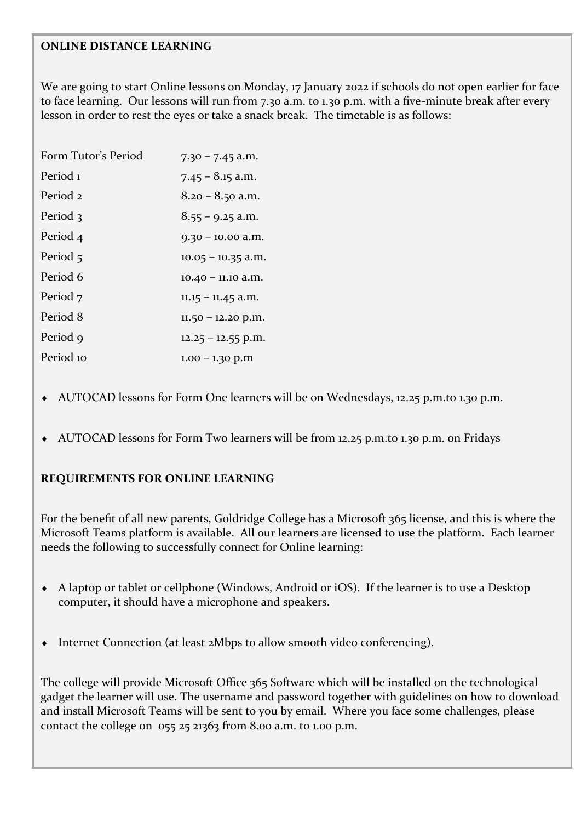#### **ONLINE DISTANCE LEARNING**

We are going to start Online lessons on Monday, 17 January 2022 if schools do not open earlier for face to face learning. Our lessons will run from 7.30 a.m. to 1.30 p.m. with a five-minute break after every lesson in order to rest the eyes or take a snack break. The timetable is as follows:

| Form Tutor's Period | $7.30 - 7.45$ a.m.   |
|---------------------|----------------------|
| Period 1            | $7.45 - 8.15$ a.m.   |
| Period 2            | $8.20 - 8.50$ a.m.   |
| Period 3            | $8.55 - 9.25$ a.m.   |
| Period 4            | $9.30 - 10.00$ a.m.  |
| Period 5            | $10.05 - 10.35$ a.m. |
| Period 6            | $10.40 - 11.10$ a.m. |
| Period 7            | $11.15 - 11.45$ a.m. |
| Period 8            | $11.50 - 12.20$ p.m. |
| Period 9            | $12.25 - 12.55$ p.m. |
| Period 10           | $1.00 - 1.30$ p.m    |

- AUTOCAD lessons for Form One learners will be on Wednesdays, 12.25 p.m.to 1.30 p.m.
- AUTOCAD lessons for Form Two learners will be from 12.25 p.m.to 1.30 p.m. on Fridays

#### **REQUIREMENTS FOR ONLINE LEARNING**

For the benefit of all new parents, Goldridge College has a Microsoft 365 license, and this is where the Microsoft Teams platform is available. All our learners are licensed to use the platform. Each learner needs the following to successfully connect for Online learning:

- A laptop or tablet or cellphone (Windows, Android or iOS). If the learner is to use a Desktop computer, it should have a microphone and speakers.
- Internet Connection (at least 2Mbps to allow smooth video conferencing).

The college will provide Microsoft Office 365 Software which will be installed on the technological gadget the learner will use. The username and password together with guidelines on how to download and install Microsoft Teams will be sent to you by email. Where you face some challenges, please contact the college on 055 25 21363 from 8.00 a.m. to 1.00 p.m.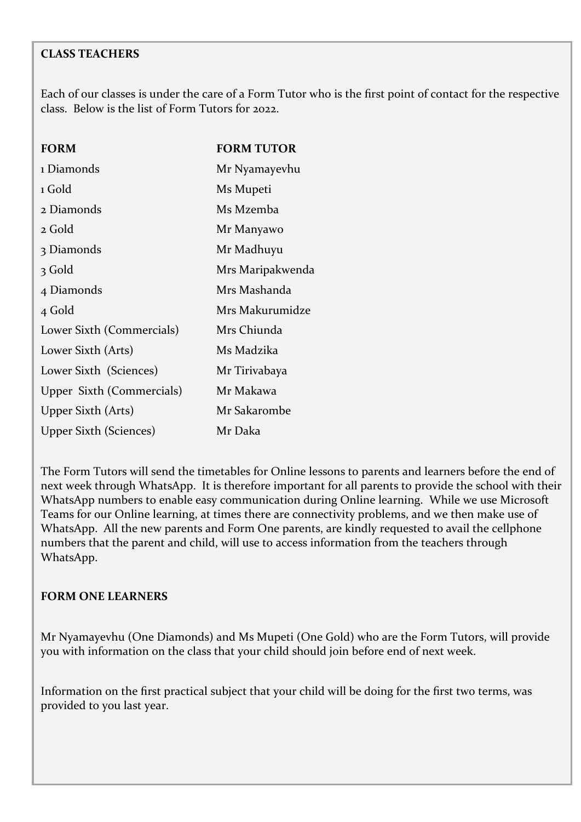## **CLASS TEACHERS**

Each of our classes is under the care of a Form Tutor who is the first point of contact for the respective class. Below is the list of Form Tutors for 2022.

| <b>FORM</b>                   | <b>FORM TUTOR</b> |
|-------------------------------|-------------------|
| 1 Diamonds                    | Mr Nyamayevhu     |
| 1 Gold                        | Ms Mupeti         |
| 2 Diamonds                    | Ms Mzemba         |
| 2 Gold                        | Mr Manyawo        |
| 3 Diamonds                    | Mr Madhuyu        |
| 3 Gold                        | Mrs Maripakwenda  |
| 4 Diamonds                    | Mrs Mashanda      |
| 4 Gold                        | Mrs Makurumidze   |
| Lower Sixth (Commercials)     | Mrs Chiunda       |
| Lower Sixth (Arts)            | Ms Madzika        |
| Lower Sixth (Sciences)        | Mr Tirivabaya     |
| Upper Sixth (Commercials)     | Mr Makawa         |
| Upper Sixth (Arts)            | Mr Sakarombe      |
| <b>Upper Sixth (Sciences)</b> | Mr Daka           |

The Form Tutors will send the timetables for Online lessons to parents and learners before the end of next week through WhatsApp. It is therefore important for all parents to provide the school with their WhatsApp numbers to enable easy communication during Online learning. While we use Microsoft Teams for our Online learning, at times there are connectivity problems, and we then make use of WhatsApp. All the new parents and Form One parents, are kindly requested to avail the cellphone numbers that the parent and child, will use to access information from the teachers through WhatsApp.

#### **FORM ONE LEARNERS**

Mr Nyamayevhu (One Diamonds) and Ms Mupeti (One Gold) who are the Form Tutors, will provide you with information on the class that your child should join before end of next week.

Information on the first practical subject that your child will be doing for the first two terms, was provided to you last year.